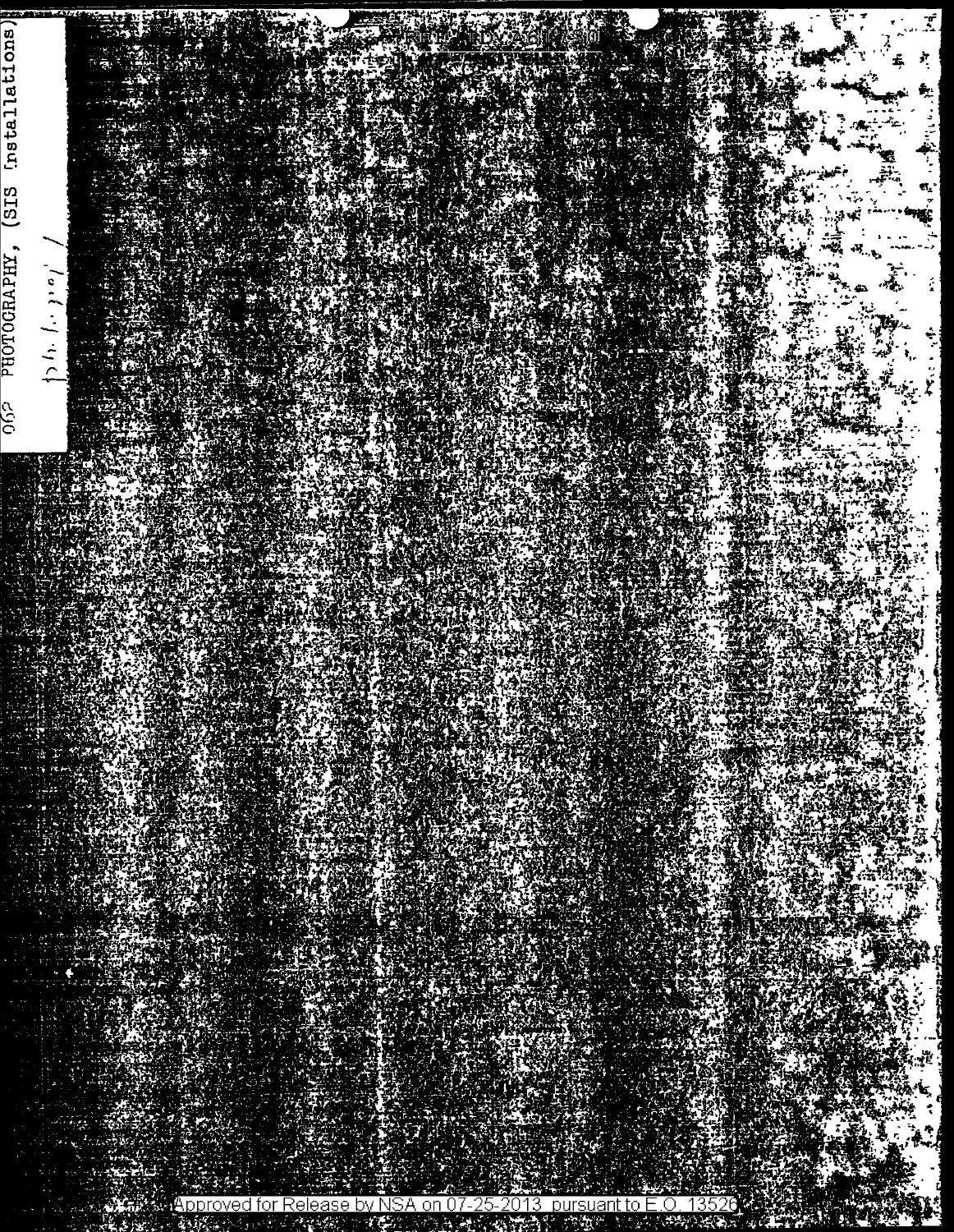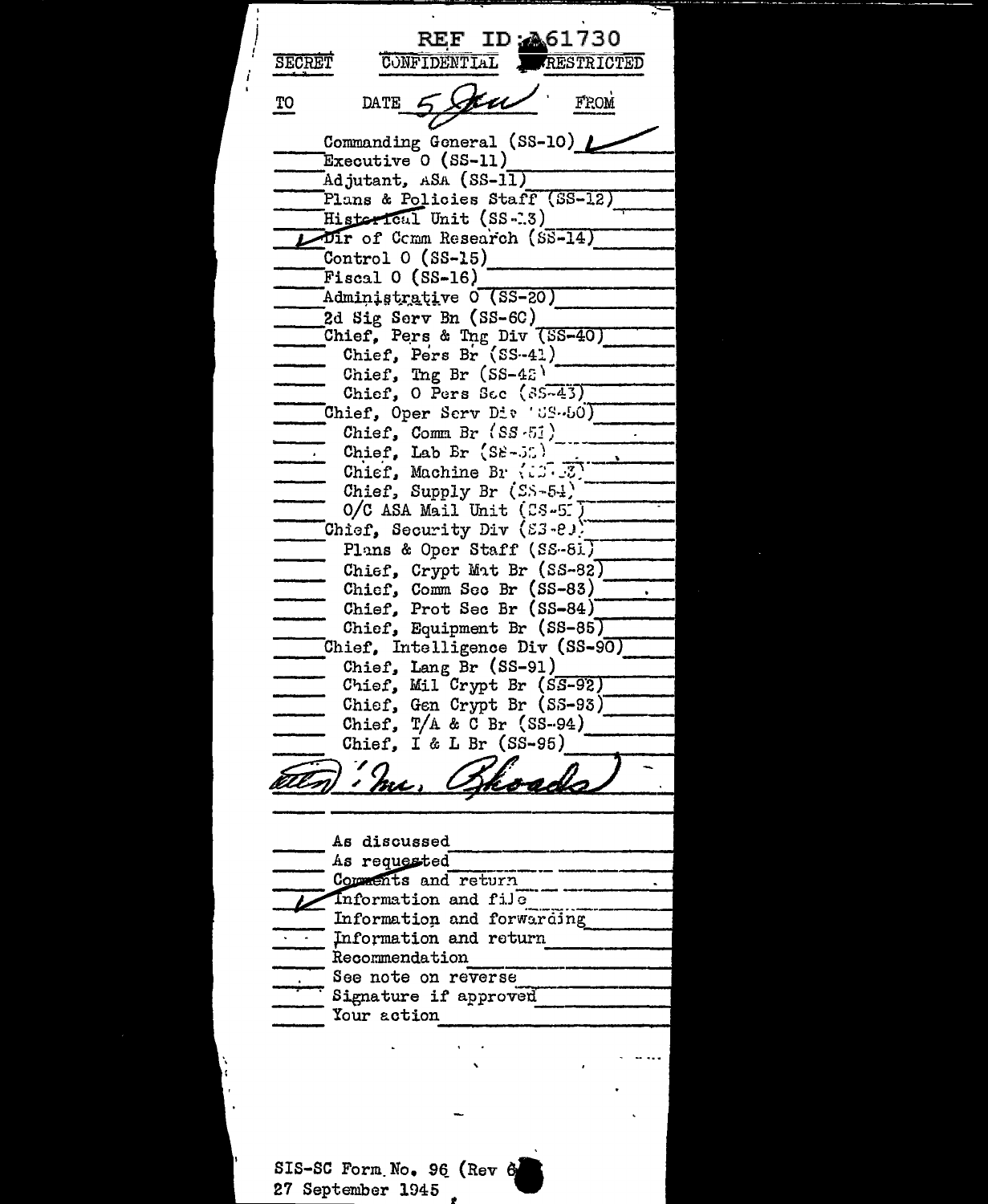REF ID: 461730 **SECRET** CONFIDENTIAL RESTRICTED  $\underline{\text{TO}}$ **FROM** DATE CCC. Commanding General (SS-10) Executive  $0$  (SS-11) Adjutant, ASA (SS-11) Plans & Policies Staff (SS-12) Historical Unit (SS-13) Dir of Comm Research (SS-14) Control  $0$  (SS-15) Fiscal  $0$  (SS-16) Administrative 0 (SS-20) 2d Sig Serv Bn  $(SS-6C)$ Chief, Pers & Tng Div (SS-40) Chief, Pers Br (SS-41) Chief,  $Tng Br (SS-42)$ Chief,  $0$  Pers Sec  $(35-43)$ Chief, Oper Scrv Div 'US-60) Chief, Comm Br  $(SS-5i)$ Chief. Lab Br  $(S_{\epsilon} - J_{\epsilon})$ Chief, Machine Br (13.3) Chief, Supply Br (SS-54)  $O/C$  ASA Mail Unit (CS-5.) Chief, Security Div (83-8)) Plans & Oper Staff (SS-81) Chief, Crypt Mat Br (SS-82) Chief, Comm Sec Br (SS-83) Chief, Prot Sec Br (SS-84) Chief, Equipment Br (SS-85) Chief, Intelligence Div (SS-90) Chief, Lang Br (SS-91) Chief, Mil Crypt Br (SS-92) Chief, Gen Crypt Br (SS-93) Chief,  $T/A$  & C Br (SS-94) Chief, I & L Br  $(SS-95)$ Hord <u>mi ,</u> As discussed As requested Comments and return Information and file Information and forwarding Information and return Recommendation See note on reverse Signature if approved Your action

SIS-SC Form No. 96 (Rev 6 27 September 1945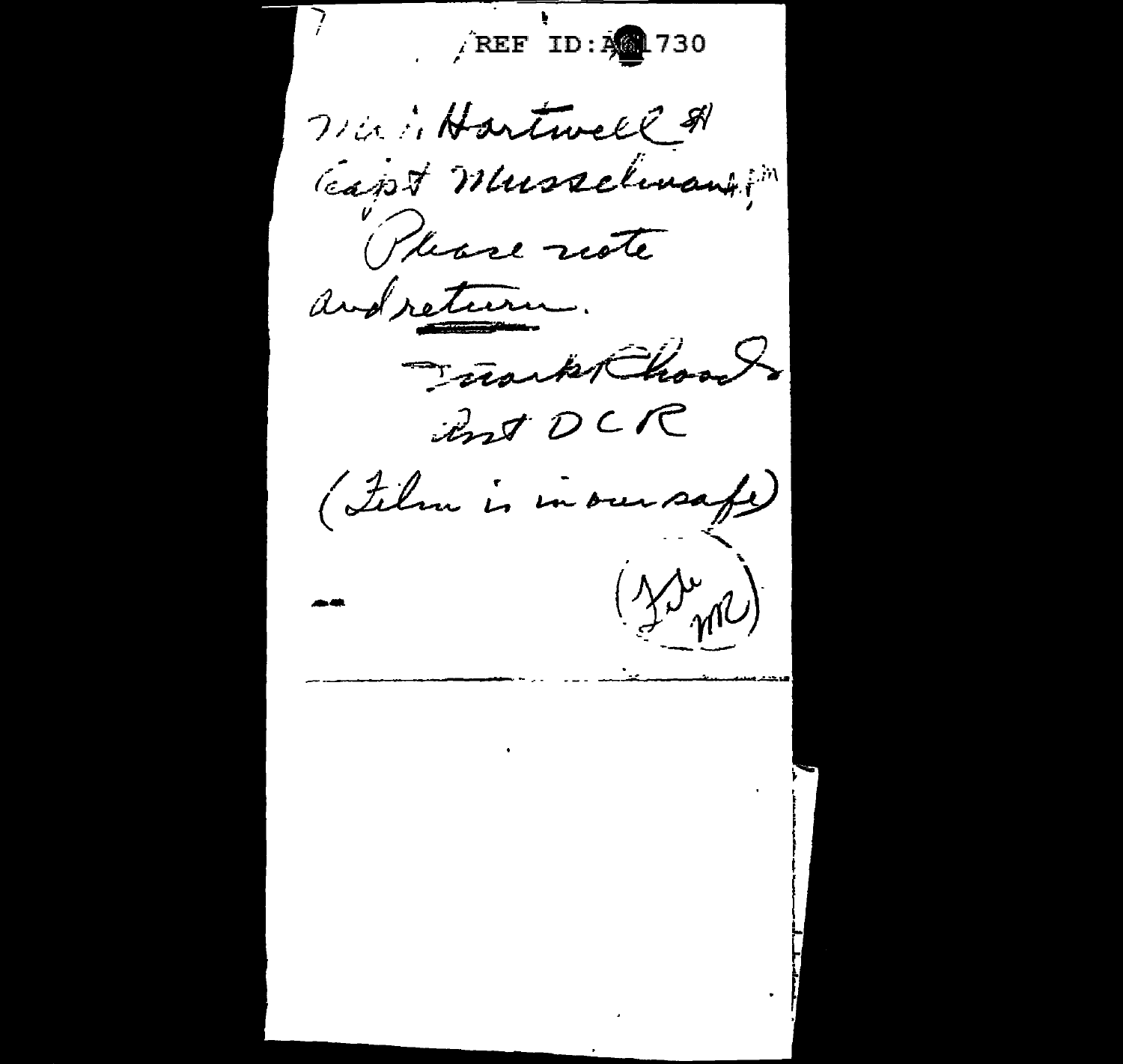REF ID: A 730 Wir in Hartwell & Capt Musselinantin (Please note and return. Frank Chools ant DCR (Ilm is in our safe)  $(\text{MeV})$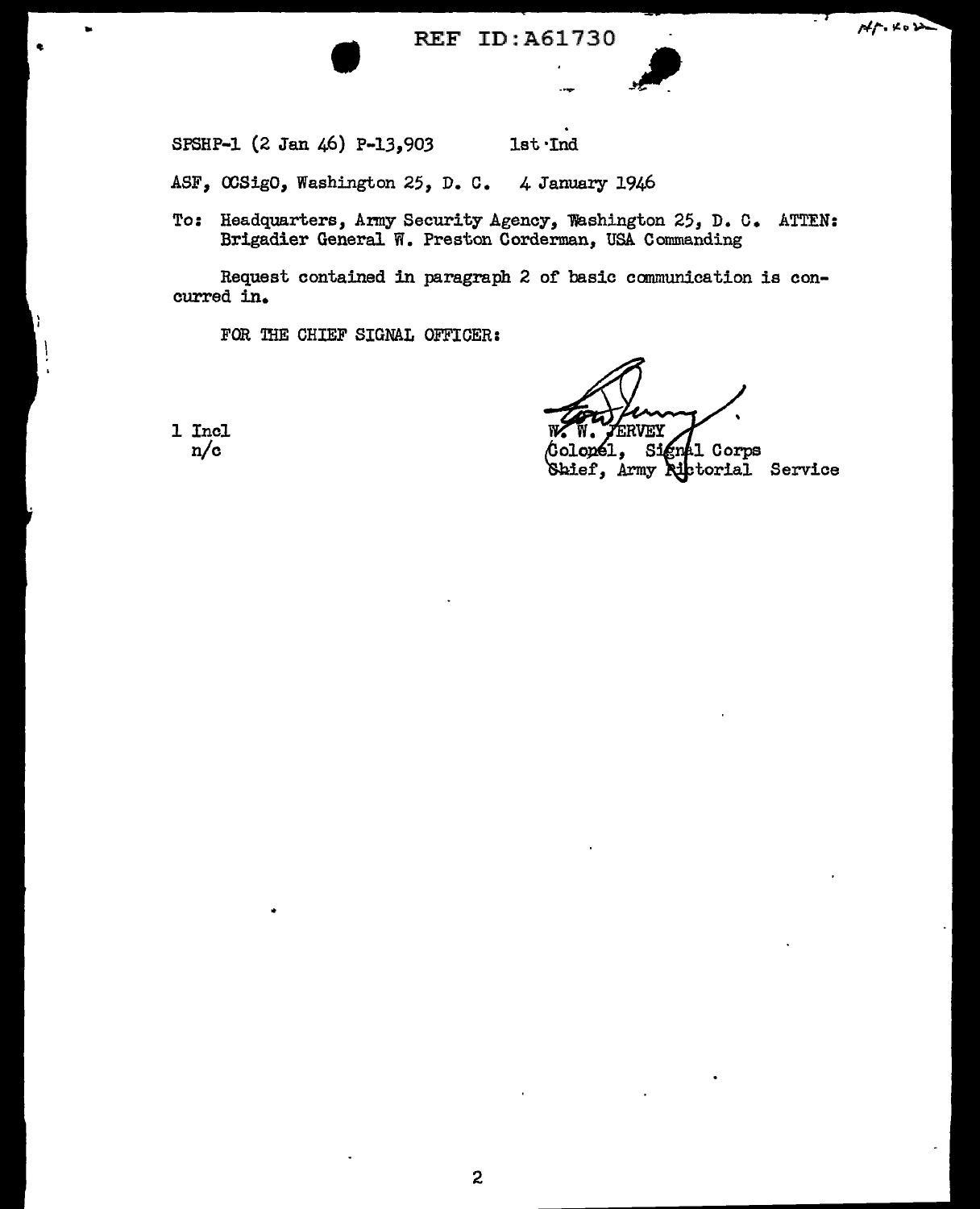• REF ID:A61730



SPSHP-1 (2 Jan 46) P-13,903 lst·Ind

ASF, OOSigO, Washington 25, D. C. 4 January 1946

To: Headquarters, Army Security Agency, Washington 25, D. C. ATTEN: Brigadier General W. Preston Corderman, USA Commanding

Request contained in paragraph 2 of basic communication is concurred in.

FOR THE CHIEF SIGNAL OFFICER:

Colonél, Signal Corps<br>Saief, Army Rictorial Service

1 Incl n/c

..

2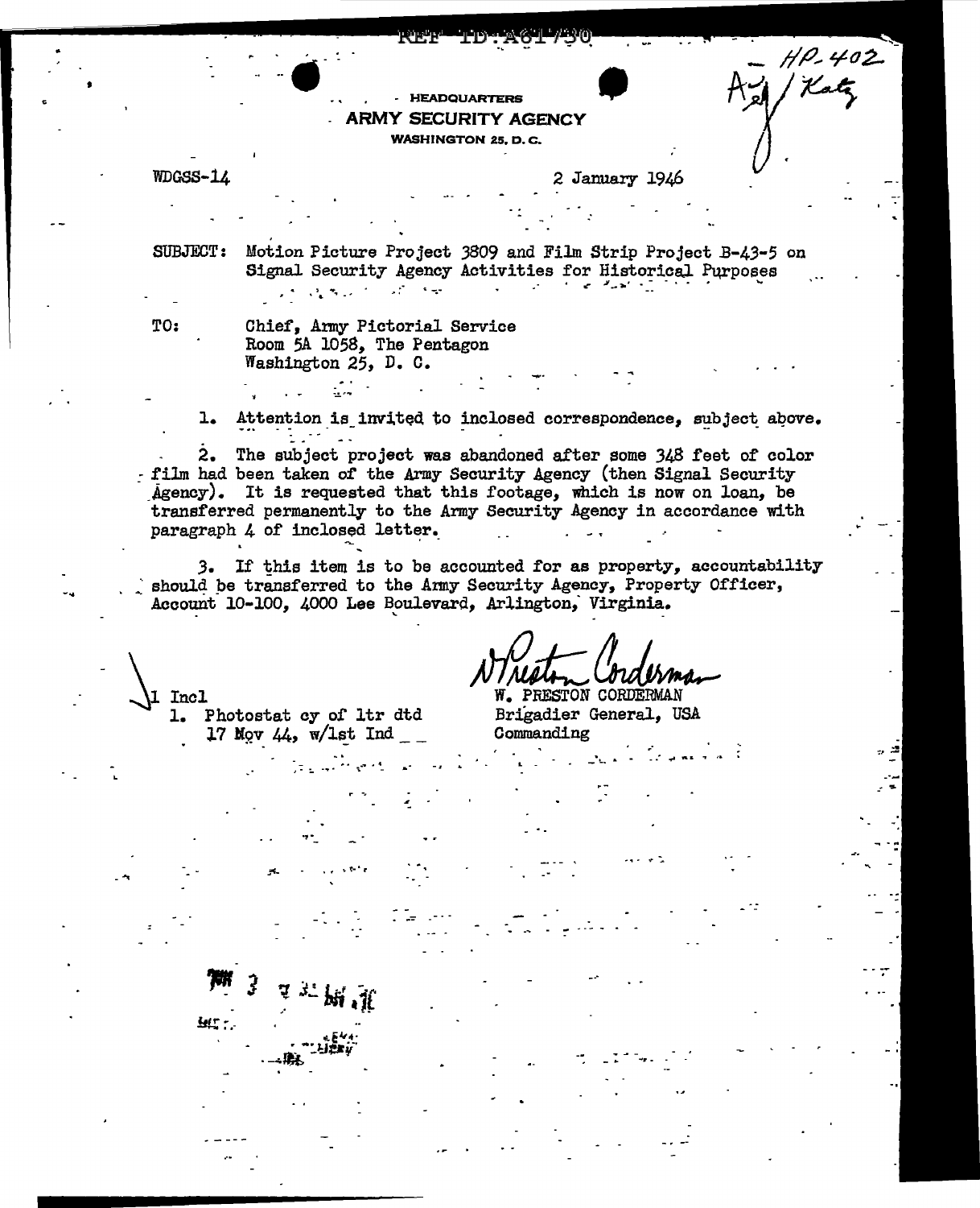## - HEADQUARTERS **ARMY SECURITY AGENCY**

**WASHINGTON 25, D.C.** 

WDGSS-14

2 January 1946

 $H P - 402$ 

SUBJECT: Motion Picture Project 3809 and Film Strip Project B-43-5 on Signal Security Agency Activities for Historical Purposes  $\mathcal{F}=\mathcal{F}=\mathcal{F}$  , where  $\mathcal{F}=\mathcal{F}$  $\mathcal{L} \leftarrow \mathcal{L} \left( \mathcal{L} \right)$  , where  $\mathcal{L} \left( \mathcal{L} \right)$ **Contractor** 

TO:

1 Incl

**Let T** 

Chief, Army Pictorial Service Room 5A 1058, The Pentagon Washington 25, D. C.

 $1.$ Attention is invited to inclosed correspondence, subject above.

 $2.$ The subject project was abandoned after some 348 feet of color - film had been taken of the Army Security Agency (then Signal Security Agency). It is requested that this footage, which is now on loan, be transferred permanently to the Army Security Agency in accordance with paragraph 4 of inclosed letter.

3. If this item is to be accounted for as property, accountability should be transferred to the Army Security Agency, Property Officer, Account 10-100, 4000 Lee Boulevard, Arlington, Virginia.

1. Photostat cy of ltr dtd 17 Mov 44,  $w/1$ st Ind \_\_

bidbina W. PRESTON CORDERMAN Brigadier General. USA

Commanding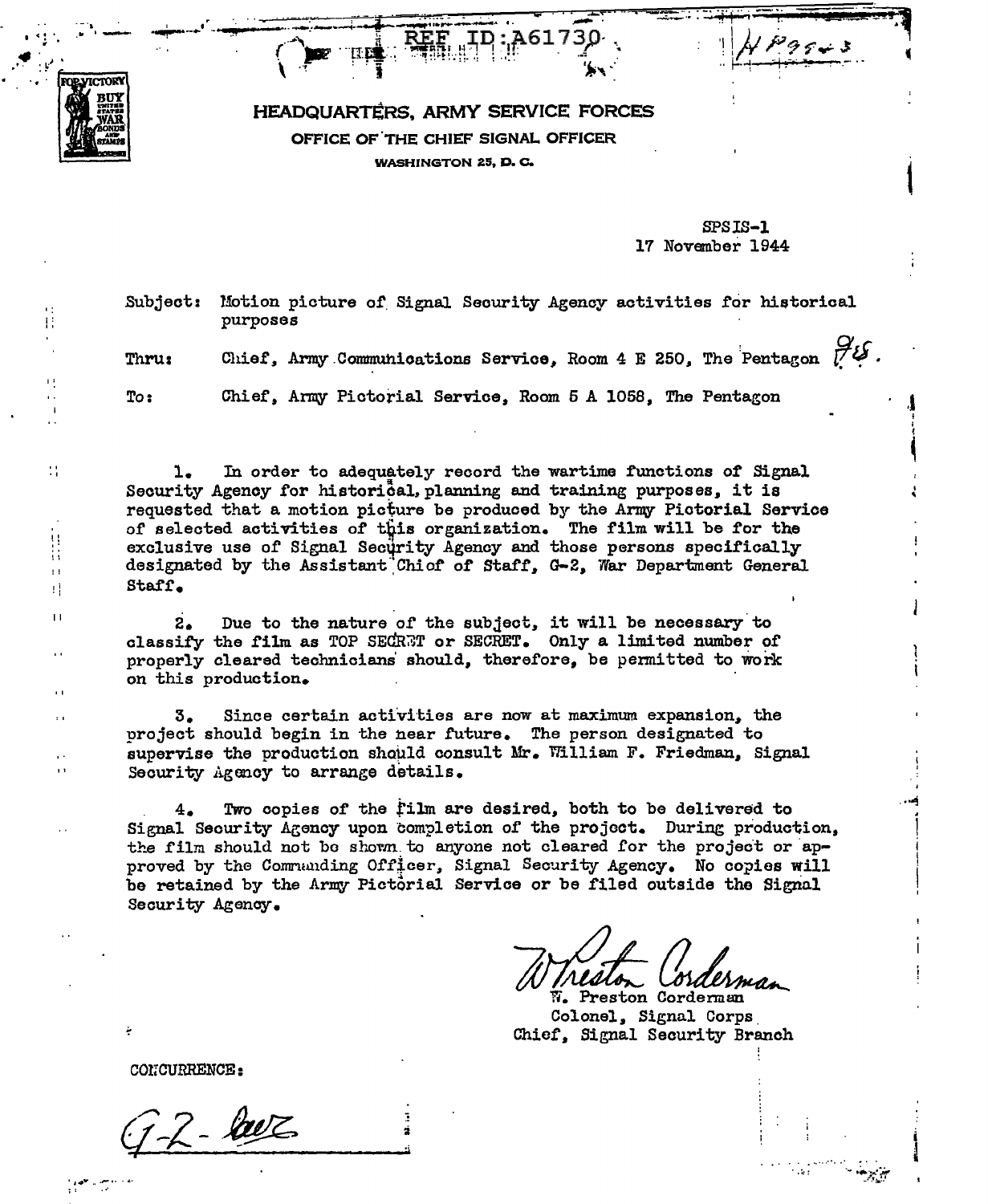

Ħ

44

 $\mathbb{N}$ 

Ħ

Ĥ

Ĥ  $\mathbf{H}$ 

## HEADQUARTERS, ARMY SERVICE FORCES OFFICE OF THE CHIEF SIGNAL OFFICER **WASHINGTON 25, D. C.**

SPSIS-1 17 November 1944

 $19943$ 

Motion picture of Signal Security Agency activities for historical **Subject:** purposes

Chief, Army Communications Service, Room 4 E 250, The Pentagon  $\mathcal{U}$ . Thru:

Chief, Army Pictorial Service, Room 5 A 1058, The Pentagon  $To:$ 

In order to adequately record the wartime functions of Signal ı. Security Agency for historical, planning and training purposes, it is requested that a motion picture be produced by the Army Pictorial Service of selected activities of this organization. The film will be for the exclusive use of Signal Security Agency and those persons specifically designated by the Assistant Chicf of Staff. G-2. War Department General Staff.

Due to the nature of the subject, it will be necessary to  $2.$ classify the film as TOP SECRET or SECRET. Only a limited number of properly cleared technicians should, therefore, be permitted to work on this production.

3. Since certain activities are now at maximum expansion, the project should begin in the near future. The person designated to supervise the production should consult Mr. William F. Friedman, Signal Security Agency to arrange details.

Two copies of the film are desired, both to be delivered to 4. Signal Security Agency upon completion of the project. During production, the film should not be shown to anyone not cleared for the project or approved by the Commanding Officer, Signal Security Agency. No copies will be retained by the Army Pictorial Service or be filed outside the Signal Security Agency.

W. Preston Corderman Colonel, Signal Corps Chief. Signal Security Branch

CONCURRENCE:

 $2 - \text{base}$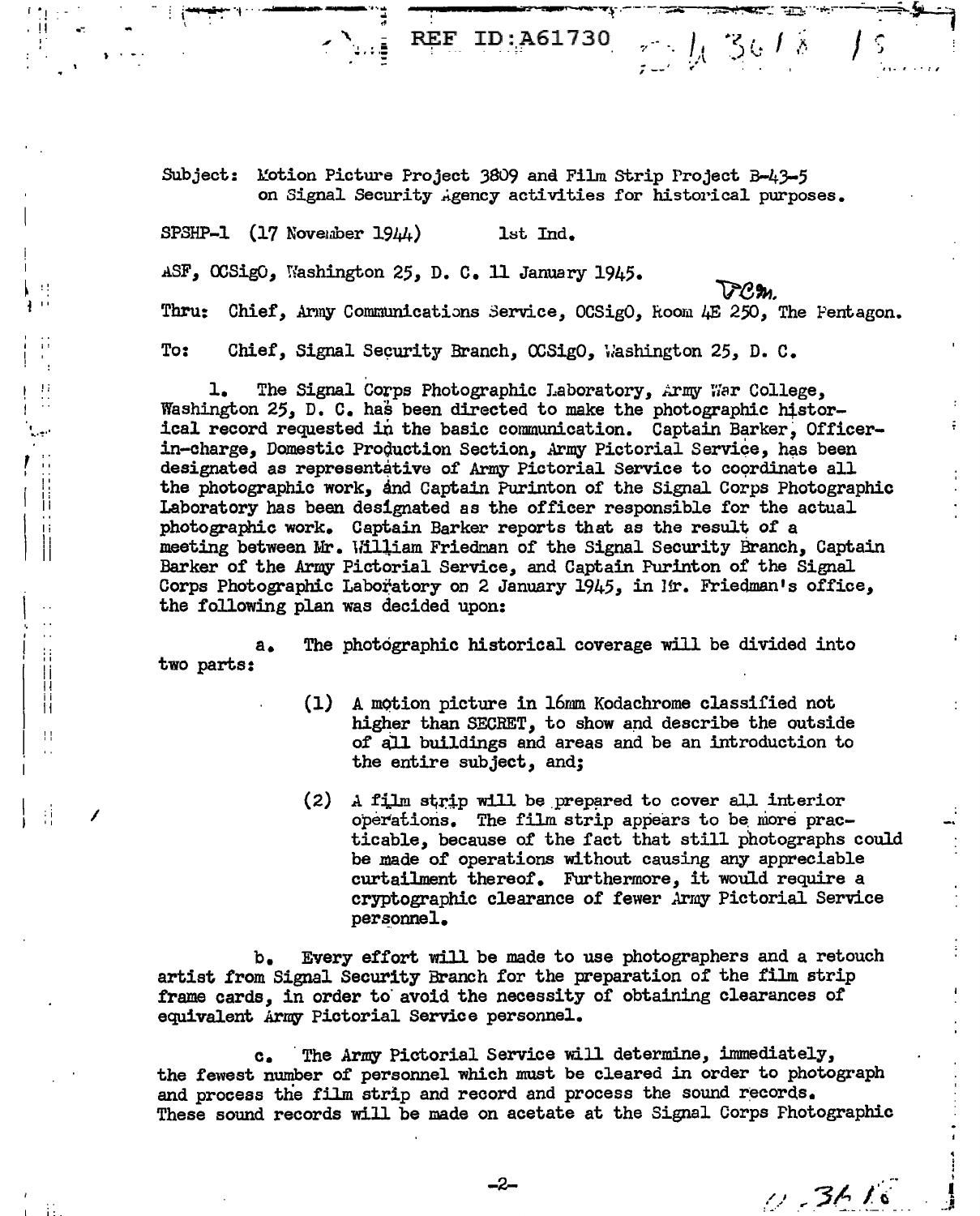REF ID: A61730  $\frac{1}{2}$   $\frac{1}{2}$  36/8

Subject: Motion Picture Project 3809 and Film Strip Project B-43-5 on Signal Security Agency activities for historical purposes.

SPSHP-1  $(17$  November  $1944$ ) 1st Ind.

 $\mathbf{E}$ 

三百日

 $\mathbf{H}$ 

 $\bar{a}$  .

l.

||<br>|| Ħ

 $\mathbf{H}$ 

 $\ddot{\phantom{a}}$ 

÷Ì

ASF, OCSigO, Washington 25, D. C. 11 January 1945.

 $\Omega$ m.

Thru: Chief, Army Communications Service, OCSigO, Room 4E 250, The Fentagon.

To: Chief, Signal Security Branch, OCSigO, Washington 25, D. C.

The Signal Corps Photographic Laboratory, Army War College, ı. Washington 25, D. C. has been directed to make the photographic historical record requested in the basic communication. Captain Barker, Officerin-charge, Domestic Production Section, Army Pictorial Service, has been designated as representative of Army Pictorial Service to coordinate all the photographic work, and Captain Purinton of the Signal Corps Photographic Laboratory has been designated as the officer responsible for the actual photographic work. Captain Barker reports that as the result of a meeting between Mr. William Friedman of the Signal Security Branch, Captain Barker of the Army Pictorial Service, and Captain Purinton of the Signal Corps Photographic Laboratory on 2 January 1945, in Mr. Friedman's office, the following plan was decided upon:

The photographic historical coverage will be divided into a. two parts:

- $(1)$ A motion picture in 16mm Kodachrome classified not higher than SECRET, to show and describe the outside of all buildings and areas and be an introduction to the entire subject, and;
- $(2)$ A film strip will be prepared to cover all interior operations. The film strip appears to be more practicable, because of the fact that still photographs could be made of operations without causing any appreciable curtailment thereof. Furthermore, it would require a cryptographic clearance of fewer Army Pictorial Service personnel.

Every effort will be made to use photographers and a retouch  $b_{\bullet}$ artist from Signal Security Branch for the preparation of the film strip frame cards, in order to avoid the necessity of obtaining clearances of equivalent Army Pictorial Service personnel.

The Army Pictorial Service will determine, immediately,  $\mathbf{c}_{\bullet}$ the fewest number of personnel which must be cleared in order to photograph and process the film strip and record and process the sound records. These sound records will be made on acetate at the Signal Corps Photographic

 $0.3616$ 

-2-